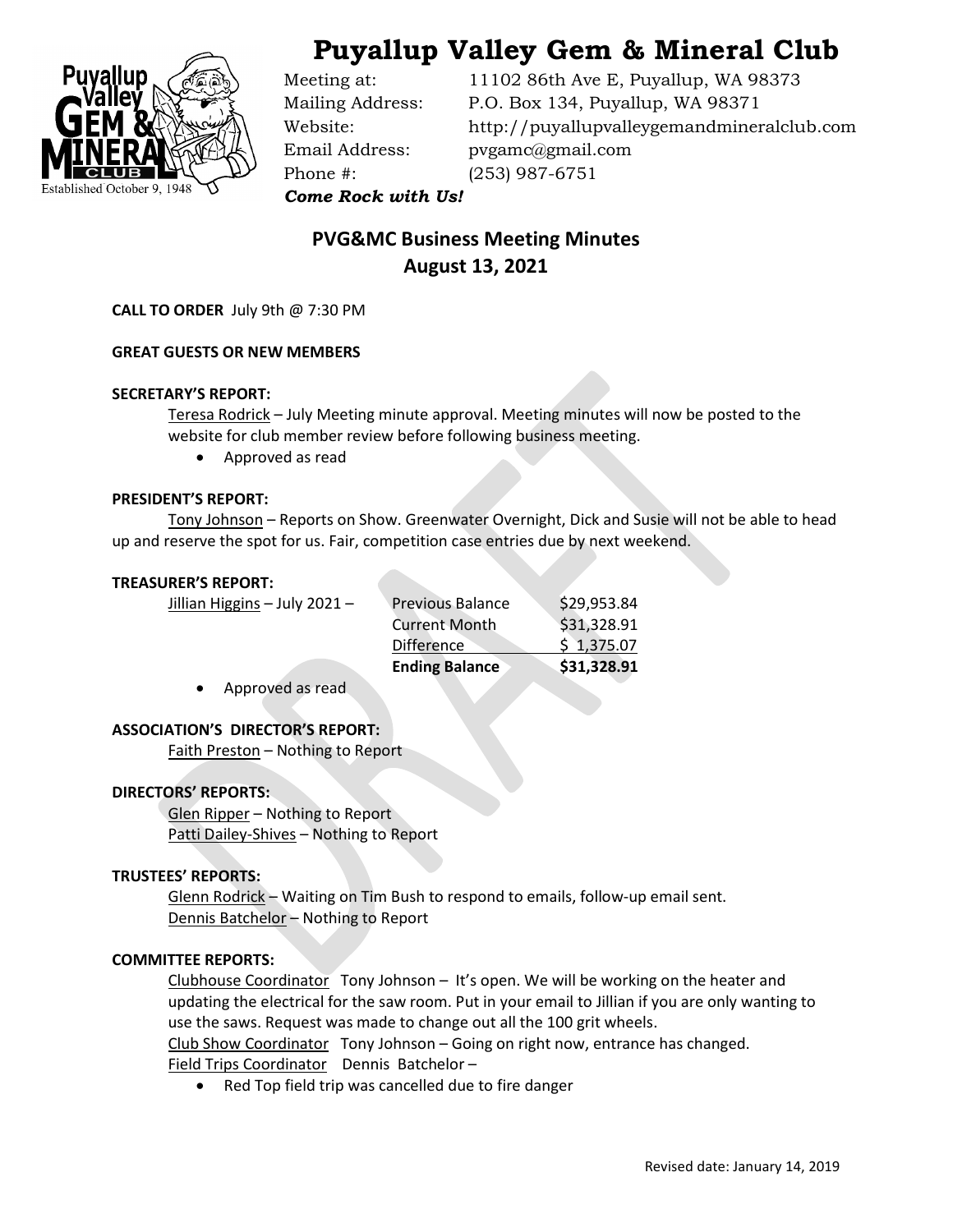

# Puyallup Valley Gem & Mineral Club

Phone #: (253) 987-6751

Meeting at: 11102 86th Ave E, Puyallup, WA 98373 Mailing Address: P.O. Box 134, Puyallup, WA 98371 Website: http://puyallupvalleygemandmineralclub.com Email Address: pvgamc@gmail.com

Come Rock with Us!

# PVG&MC Business Meeting Minutes August 13, 2021

CALL TO ORDER July 9th @ 7:30 PM

## GREAT GUESTS OR NEW MEMBERS

### SECRETARY'S REPORT:

Teresa Rodrick – July Meeting minute approval. Meeting minutes will now be posted to the website for club member review before following business meeting.

Approved as read

### PRESIDENT'S REPORT:

 Tony Johnson – Reports on Show. Greenwater Overnight, Dick and Susie will not be able to head up and reserve the spot for us. Fair, competition case entries due by next weekend.

#### TREASURER'S REPORT:

|                               | <b>Ending Balance</b>   | \$31,328.91 |
|-------------------------------|-------------------------|-------------|
|                               | <b>Difference</b>       | \$1,375.07  |
|                               | <b>Current Month</b>    | \$31,328.91 |
| Jillian Higgins – July 2021 – | <b>Previous Balance</b> | \$29,953.84 |

Approved as read

### ASSOCIATION'S DIRECTOR'S REPORT:

Faith Preston – Nothing to Report

### DIRECTORS' REPORTS:

 Glen Ripper – Nothing to Report Patti Dailey-Shives – Nothing to Report

### TRUSTEES' REPORTS:

Glenn Rodrick - Waiting on Tim Bush to respond to emails, follow-up email sent. Dennis Batchelor - Nothing to Report

### COMMITTEE REPORTS:

Clubhouse Coordinator Tony Johnson – It's open. We will be working on the heater and updating the electrical for the saw room. Put in your email to Jillian if you are only wanting to use the saws. Request was made to change out all the 100 grit wheels. Club Show Coordinator Tony Johnson - Going on right now, entrance has changed. Field Trips Coordinator Dennis Batchelor-

• Red Top field trip was cancelled due to fire danger